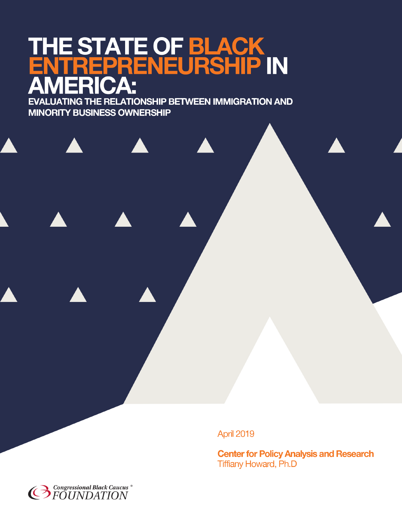### THE STATE OF BLACK<br>ENTREPRENEURSHIP IN PA-

**EVALUATING THE RELATIONSHIP BETWEEN IMMIGRATION AND MINORITY BUSINESS OWNERSHIP** 

April 2019

**Center for Policy Analysis and Research Tiffiany Howard, Ph.D** 

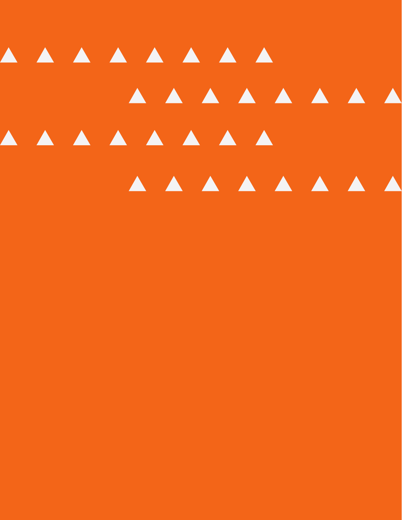## A A A A A A A A AAAAAAAAA A A A A A A A A AAAAAAAAA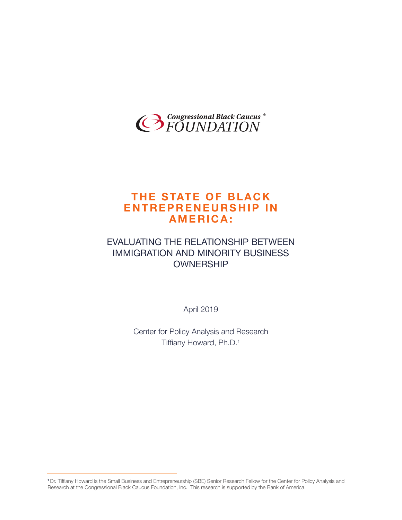

#### **THE STATE OF BLACK ENTREPRENEURSHIP IN AMERICA:**

#### EVALUATING THE RELATIONSHIP BETWEEN IMMIGRATION AND MINORITY BUSINESS **OWNERSHIP**

April 2019

Center for Policy Analysis and Research Tiffiany Howard, Ph.D.1

<sup>1</sup>Dr. Tiffiany Howard is the Small Business and Entrepreneurship (SBE) Senior Research Fellow for the Center for Policy Analysis and Research at the Congressional Black Caucus Foundation, Inc. This research is supported by the Bank of America.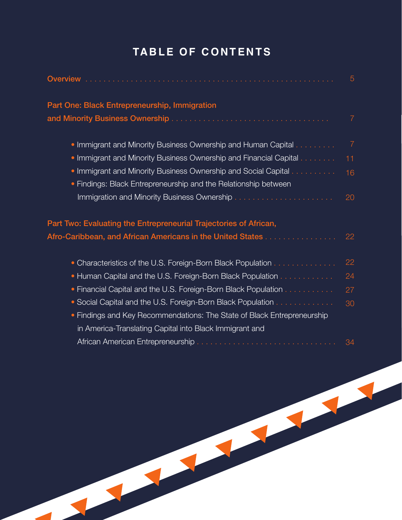### **TABLE OF CONTENTS**

|                                                                         | $\overline{5}$ |
|-------------------------------------------------------------------------|----------------|
| Part One: Black Entrepreneurship, Immigration                           |                |
|                                                                         | $\overline{7}$ |
| • Immigrant and Minority Business Ownership and Human Capital           | $\overline{7}$ |
| • Immigrant and Minority Business Ownership and Financial Capital       | 11             |
| • Immigrant and Minority Business Ownership and Social Capital          | 16             |
| • Findings: Black Entrepreneurship and the Relationship between         |                |
| Immigration and Minority Business Ownership                             | 20             |
| Part Two: Evaluating the Entrepreneurial Trajectories of African,       |                |
| Afro-Caribbean, and African Americans in the United States              | 22             |
| • Characteristics of the U.S. Foreign-Born Black Population             | 22             |
| • Human Capital and the U.S. Foreign-Born Black Population              | 24             |
| • Financial Capital and the U.S. Foreign-Born Black Population          | 27             |
| • Social Capital and the U.S. Foreign-Born Black Population             | 30             |
| • Findings and Key Recommendations: The State of Black Entrepreneurship |                |
| in America-Translating Capital into Black Immigrant and                 |                |
|                                                                         | 34             |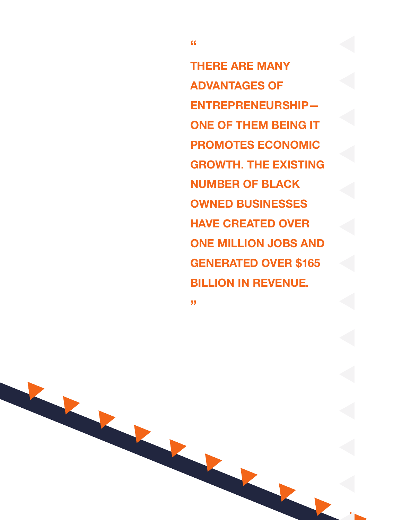**THERE ARE MANY ADVANTAGES OF ENTREPRENEURSHIP— ONE OF THEM BEING IT PROMOTES ECONOMIC GROWTH. THE EXISTING NUMBER OF BLACK OWNED BUSINESSES HAVE CREATED OVER ONE MILLION JOBS AND GENERATED OVER \$165 BILLION IN REVENUE.**

**"**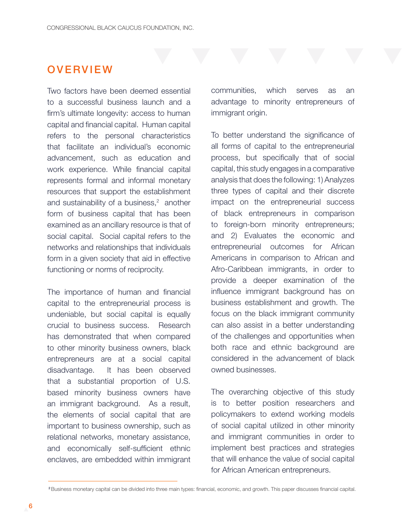#### **OVERVIEW**

Two factors have been deemed essential to a successful business launch and a firm's ultimate longevity: access to human capital and financial capital. Human capital refers to the personal characteristics that facilitate an individual's economic advancement, such as education and work experience. While financial capital represents formal and informal monetary resources that support the establishment and sustainability of a business,<sup>2</sup> another form of business capital that has been examined as an ancillary resource is that of social capital. Social capital refers to the networks and relationships that individuals form in a given society that aid in effective functioning or norms of reciprocity.

The importance of human and financial capital to the entrepreneurial process is undeniable, but social capital is equally crucial to business success. Research has demonstrated that when compared to other minority business owners, black entrepreneurs are at a social capital disadvantage. It has been observed that a substantial proportion of U.S. based minority business owners have an immigrant background. As a result, the elements of social capital that are important to business ownership, such as relational networks, monetary assistance, and economically self-sufficient ethnic enclaves, are embedded within immigrant

communities, which serves as an advantage to minority entrepreneurs of immigrant origin.

To better understand the significance of all forms of capital to the entrepreneurial process, but specifically that of social capital, this study engages in a comparative analysis that does the following: 1) Analyzes three types of capital and their discrete impact on the entrepreneurial success of black entrepreneurs in comparison to foreign-born minority entrepreneurs; and 2) Evaluates the economic and entrepreneurial outcomes for African Americans in comparison to African and Afro-Caribbean immigrants, in order to provide a deeper examination of the influence immigrant background has on business establishment and growth. The focus on the black immigrant community can also assist in a better understanding of the challenges and opportunities when both race and ethnic background are considered in the advancement of black owned businesses.

The overarching objective of this study is to better position researchers and policymakers to extend working models of social capital utilized in other minority and immigrant communities in order to implement best practices and strategies that will enhance the value of social capital for African American entrepreneurs.

<sup>&</sup>lt;sup>2</sup> Business monetary capital can be divided into three main types: financial, economic, and growth. This paper discusses financial capital.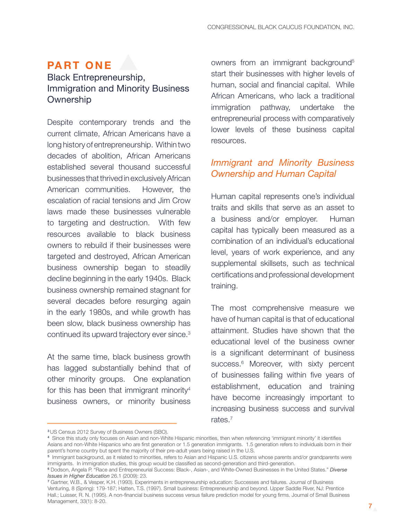#### **PART ONE**

#### Black Entrepreneurship, Immigration and Minority Business **Ownership**

Despite contemporary trends and the current climate, African Americans have a long history of entrepreneurship. Within two decades of abolition, African Americans established several thousand successful businesses that thrived in exclusively African American communities. However, the escalation of racial tensions and Jim Crow laws made these businesses vulnerable to targeting and destruction. With few resources available to black business owners to rebuild if their businesses were targeted and destroyed, African American business ownership began to steadily decline beginning in the early 1940s. Black business ownership remained stagnant for several decades before resurging again in the early 1980s, and while growth has been slow, black business ownership has continued its upward trajectory ever since.3

At the same time, black business growth has lagged substantially behind that of other minority groups. One explanation for this has been that immigrant minority<sup>4</sup> business owners, or minority business

owners from an immigrant background<sup>5</sup> start their businesses with higher levels of human, social and financial capital. While African Americans, who lack a traditional immigration pathway, undertake the entrepreneurial process with comparatively lower levels of these business capital resources.

#### *Immigrant and Minority Business Ownership and Human Capital*

Human capital represents one's individual traits and skills that serve as an asset to a business and/or employer. Human capital has typically been measured as a combination of an individual's educational level, years of work experience, and any supplemental skillsets, such as technical certifications and professional development training.

The most comprehensive measure we have of human capital is that of educational attainment. Studies have shown that the educational level of the business owner is a significant determinant of business success.<sup>6</sup> Moreover, with sixty percent of businesses failing within five years of establishment, education and training have become increasingly important to increasing business success and survival rates.<sup>7</sup>

<sup>3</sup>US Census 2012 Survey of Business Owners (SBO).

<sup>4</sup> Since this study only focuses on Asian and non-White Hispanic minorities, then when referencing 'immigrant minority' it identifies Asians and non-White Hispanics who are first generation or 1.5 generation immigrants. 1.5 generation refers to individuals born in their parent's home country but spent the majority of their pre-adult years being raised in the U.S.

<sup>5</sup> Immigrant background, as it related to minorities, refers to Asian and Hispanic U.S. citizens whose parents and/or grandparents were immigrants. In immigration studies, this group would be classified as second-generation and third-generation.

<sup>6</sup> Dodson, Angela P. "Race and Entrepreneurial Success: Black-, Asian-, and White-Owned Businesses in the United States." *Diverse Issues in Higher Education* 26.1 (2009): 23.

<sup>7</sup> Gartner, W.B., & Vesper, K.H. (1993). Experiments in entrepreneurship education: Successes and failures. Journal of Business Venturing, 8 (Spring): 179-187; Hatten, T.S. (1997). Small business: Entrepreneurship and beyond. Upper Saddle River, NJ: Prentice Hall.; Luisser, R. N. (1995). A non-financial business success versus failure prediction model for young firms. Journal of Small Business Management, 33(1): 8-20.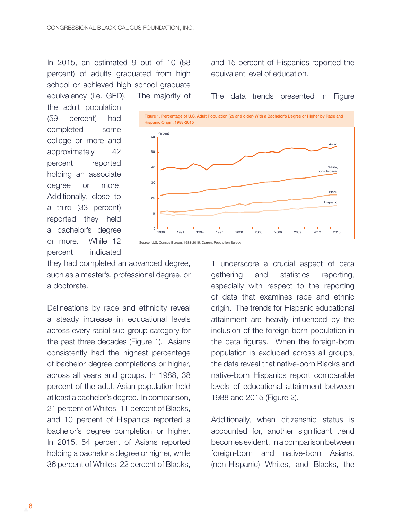In 2015, an estimated 9 out of 10 (88 percent) of adults graduated from high school or achieved high school graduate equivalency (i.e. GED). The majority of

the adult population (59 percent) had completed some college or more and approximately 42 percent reported holding an associate degree or more. Additionally, close to a third (33 percent) reported they held a bachelor's degree or more. While 12 percent indicated



Source: U.S. Census Bureau, 1988-2015, Current Population Survey

they had completed an advanced degree, such as a master's, professional degree, or a doctorate.

Delineations by race and ethnicity reveal a steady increase in educational levels across every racial sub-group category for the past three decades (Figure 1). Asians consistently had the highest percentage of bachelor degree completions or higher, across all years and groups. In 1988, 38 percent of the adult Asian population held at least a bachelor's degree. In comparison, 21 percent of Whites, 11 percent of Blacks, and 10 percent of Hispanics reported a bachelor's degree completion or higher. In 2015, 54 percent of Asians reported holding a bachelor's degree or higher, while 36 percent of Whites, 22 percent of Blacks,

1 underscore a crucial aspect of data gathering and statistics reporting, especially with respect to the reporting of data that examines race and ethnic origin. The trends for Hispanic educational attainment are heavily influenced by the inclusion of the foreign-born population in the data figures. When the foreign-born population is excluded across all groups, the data reveal that native-born Blacks and native-born Hispanics report comparable levels of educational attainment between 1988 and 2015 (Figure 2).

and 15 percent of Hispanics reported the

The data trends presented in Figure

equivalent level of education.

Additionally, when citizenship status is accounted for, another significant trend becomes evident. In a comparison between foreign-born and native-born Asians, (non-Hispanic) Whites, and Blacks, the

8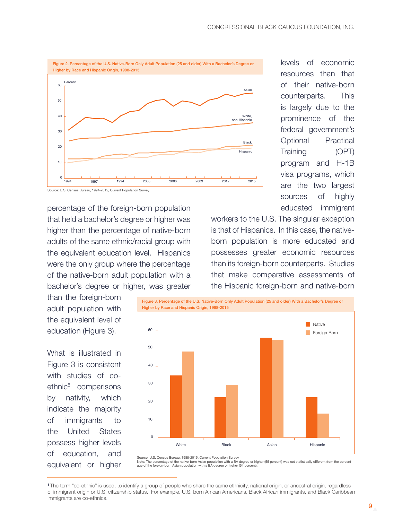

Source: U.S. Census Bureau, 1994-2015, Current Population Survey

percentage of the foreign-born population that held a bachelor's degree or higher was higher than the percentage of native-born adults of the same ethnic/racial group with the equivalent education level. Hispanics were the only group where the percentage of the native-born adult population with a bachelor's degree or higher, was greater

than the foreign-born adult population with the equivalent level of education (Figure 3).

What is illustrated in Figure 3 is consistent with studies of coethnic<sup>8</sup> comparisons by nativity, which indicate the majority of immigrants to the United States possess higher levels of education, and equivalent or higher



Source: U.S. Census Bureau, 1988-2015, Current Population Survey<br>Note: The percentage of the native-born Asian population with a BA degree or higher (55 percent) was not statistically different from the percentage of the foreign-born Asian population with a BA degree or higher (54 percent).

<sup>8</sup>The term "co-ethnic" is used, to identify a group of people who share the same ethnicity, national origin, or ancestral origin, regardless of immigrant origin or U.S. citizenship status. For example, U.S. born African Americans, Black African immigrants, and Black Caribbean immigrants are co-ethnics.

levels of economic resources than that of their native-born counterparts. This is largely due to the prominence of the federal government's Optional Practical Training (OPT) program and H-1B visa programs, which are the two largest sources of highly educated immigrant

workers to the U.S. The singular exception is that of Hispanics. In this case, the nativeborn population is more educated and possesses greater economic resources than its foreign-born counterparts. Studies that make comparative assessments of the Hispanic foreign-born and native-born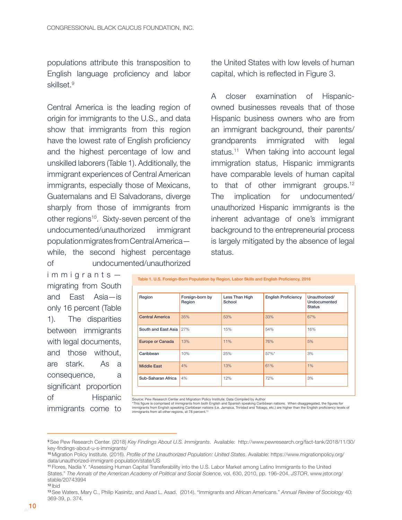populations attribute this transposition to English language proficiency and labor skillset.<sup>9</sup>

Central America is the leading region of origin for immigrants to the U.S., and data show that immigrants from this region have the lowest rate of English proficiency and the highest percentage of low and unskilled laborers (Table 1). Additionally, the immigrant experiences of Central American immigrants, especially those of Mexicans, Guatemalans and El Salvadorans, diverge sharply from those of immigrants from other regions<sup>10</sup>. Sixty-seven percent of the undocumented/unauthorized immigrant population migrates from Central America while, the second highest percentage of undocumented/unauthorized

immigrants migrating from South and East Asia—is only 16 percent (Table 1). The disparities between immigrants with legal documents, and those without, are stark. As a consequence, a significant proportion of Hispanic immigrants come to

| Table 1. U.S. Foreign-Born Population by Region, Labor Skills and English Proficiency, 2016 |                           |                          |                            |                                                |
|---------------------------------------------------------------------------------------------|---------------------------|--------------------------|----------------------------|------------------------------------------------|
| Region                                                                                      | Foreign-born by<br>Region | Less Than High<br>School | <b>English Proficiency</b> | Unauthorized/<br>Undocumented<br><b>Status</b> |
| <b>Central America</b>                                                                      | 35%                       | 53%                      | 33%                        | 67%                                            |
| South and East Asia                                                                         | 27%                       | 15%                      | 54%                        | 16%                                            |
| <b>Europe or Canada</b>                                                                     | 13%                       | 11%                      | 76%                        | 5%                                             |
| Caribbean                                                                                   | 10%                       | 25%                      | 57%*                       | 3%                                             |
| <b>Middle East</b>                                                                          | 4%                        | 13%                      | 61%                        | 1%                                             |
| Sub-Saharan Africa                                                                          | 4%                        | 12%                      | 72%                        | 3%                                             |

status.

the United States with low levels of human

A closer examination of Hispanicowned businesses reveals that of those Hispanic business owners who are from an immigrant background, their parents/ grandparents immigrated with legal status.<sup>11</sup> When taking into account legal immigration status, Hispanic immigrants have comparable levels of human capital to that of other immigrant groups.<sup>12</sup> The implication for undocumented/ unauthorized Hispanic immigrants is the inherent advantage of one's immigrant background to the entrepreneurial process is largely mitigated by the absence of legal

capital, which is reflected in Figure 3.

Source: Pew Research Center and Migration Policy Institute; Data Compiled by Author

\*This figure is comprised of immigrants from both English and Spanish speaking Caribbean nations. When disaggregated, the figures for<br>immigrants from English speaking Caribbean nations (i.e. Jamaica, Trinidad and Tobago, e immigrants from all other regions, at 78 percent.<sup>13</sup>

<sup>13</sup>See Waters, Mary C., Philip Kasinitz, and Asad L. Asad. (2014). "Immigrants and African Americans." *Annual Review of Sociology* 40: 369-39, p. 374.

<sup>9</sup> See Pew Research Center. (2018) *Key Findings About U.S. Immigrants*. Available: http://www.pewresearch.org/fact-tank/2018/11/30/ key-findings-about-u-s-immigrants/

<sup>10</sup> Migration Policy Institute. (2016). *Profile of the Unauthorized Population: United States*. Available: https://www.migrationpolicy.org/ data/unauthorized-immigrant-population/state/US

<sup>11</sup> Flores, Nadia Y. "Assessing Human Capital Transferability into the U.S. Labor Market among Latino Immigrants to the United States." *The Annals of the American Academy of Political and Social Science*, vol. 630, 2010, pp. 196–204. *JSTOR*, www.jstor.org/ stable/20743994

<sup>12</sup> Ibid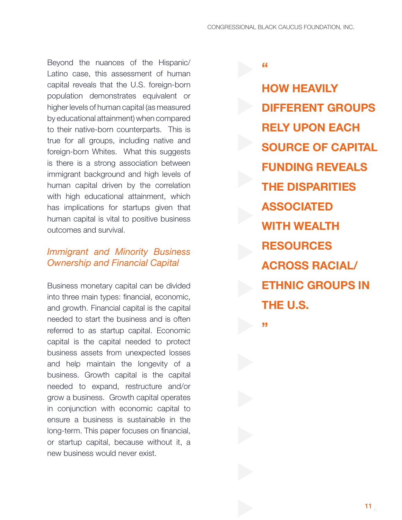Beyond the nuances of the Hispanic/ Latino case, this assessment of human capital reveals that the U.S. foreign-born population demonstrates equivalent or higher levels of human capital (as measured by educational attainment) when compared to their native-born counterparts. This is true for all groups, including native and foreign-born Whites. What this suggests is there is a strong association between immigrant background and high levels of human capital driven by the correlation with high educational attainment, which has implications for startups given that human capital is vital to positive business outcomes and survival.

#### *Immigrant and Minority Business Ownership and Financial Capital*

Business monetary capital can be divided into three main types: financial, economic, and growth. Financial capital is the capital needed to start the business and is often referred to as startup capital. Economic capital is the capital needed to protect business assets from unexpected losses and help maintain the longevity of a business. Growth capital is the capital needed to expand, restructure and/or grow a business. Growth capital operates in conjunction with economic capital to ensure a business is sustainable in the long-term. This paper focuses on financial, or startup capital, because without it, a new business would never exist.

**"**

**HOW HEAVILY DIFFERENT GROUPS RELY UPON EACH SOURCE OF CAPITAL FUNDING REVEALS THE DISPARITIES ASSOCIATED WITH WEALTH RESOURCES ACROSS RACIAL/ ETHNIC GROUPS IN THE U.S.**

**"**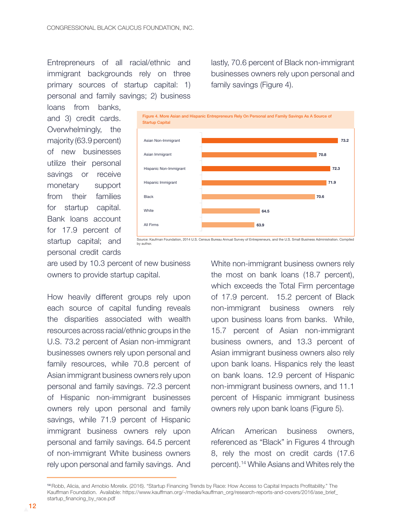Entrepreneurs of all racial/ethnic and immigrant backgrounds rely on three primary sources of startup capital: 1) personal and family savings; 2) business

lastly, 70.6 percent of Black non-immigrant businesses owners rely upon personal and family savings (Figure 4).

loans from banks, and 3) credit cards. Overwhelmingly, the majority (63.9 percent) of new businesses utilize their personal savings or receive monetary support from their families for startup capital. Bank loans account for 17.9 percent of startup capital; and personal credit cards



by author

are used by 10.3 percent of new business owners to provide startup capital.

How heavily different groups rely upon each source of capital funding reveals the disparities associated with wealth resources across racial/ethnic groups in the U.S. 73.2 percent of Asian non-immigrant businesses owners rely upon personal and family resources, while 70.8 percent of Asian immigrant business owners rely upon personal and family savings. 72.3 percent of Hispanic non-immigrant businesses owners rely upon personal and family savings, while 71.9 percent of Hispanic immigrant business owners rely upon personal and family savings. 64.5 percent of non-immigrant White business owners rely upon personal and family savings. And

White non-immigrant business owners rely the most on bank loans (18.7 percent), which exceeds the Total Firm percentage of 17.9 percent. 15.2 percent of Black non-immigrant business owners rely upon business loans from banks. While, 15.7 percent of Asian non-immigrant business owners, and 13.3 percent of Asian immigrant business owners also rely upon bank loans. Hispanics rely the least on bank loans. 12.9 percent of Hispanic non-immigrant business owners, and 11.1 percent of Hispanic immigrant business owners rely upon bank loans (Figure 5).

African American business owners, referenced as "Black" in Figures 4 through 8, rely the most on credit cards (17.6 percent).14 While Asians and Whites rely the

<sup>14</sup>Robb, Alicia, and Arnobio Morelix. (2016). "Startup Financing Trends by Race: How Access to Capital Impacts Profitability." The Kauffman Foundation. Available: https://www.kauffman.org/-/media/kauffman\_org/research-reports-and-covers/2016/ase\_brief startup\_financing\_by\_race.pdf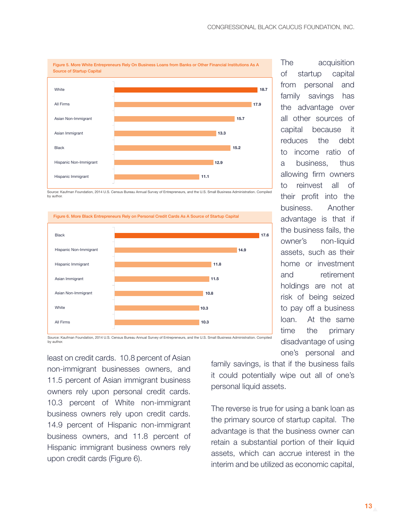

Source: Kaufman Foundation, 2014 U.S. Census Bureau Annual Survey of Entrepreneurs, and the U.S. Small Business Administration. Compiled by author.



The acquisition of startup capital from personal and family savings has the advantage over all other sources of capital because it reduces the debt to income ratio of a business, thus allowing firm owners to reinvest all of their profit into the business. Another advantage is that if the business fails, the owner's non-liquid assets, such as their home or investment and retirement holdings are not at risk of being seized to pay off a business loan. At the same time the primary disadvantage of using one's personal and

Source: Kaufman Foundation, 2014 U.S. Census Bureau Annual Survey of Entrepreneurs, and the U.S. Small Business Administration. Compiled by author.

least on credit cards. 10.8 percent of Asian non-immigrant businesses owners, and 11.5 percent of Asian immigrant business owners rely upon personal credit cards. 10.3 percent of White non-immigrant business owners rely upon credit cards. 14.9 percent of Hispanic non-immigrant business owners, and 11.8 percent of Hispanic immigrant business owners rely upon credit cards (Figure 6).

family savings, is that if the business fails it could potentially wipe out all of one's personal liquid assets.

The reverse is true for using a bank loan as the primary source of startup capital. The advantage is that the business owner can retain a substantial portion of their liquid assets, which can accrue interest in the interim and be utilized as economic capital,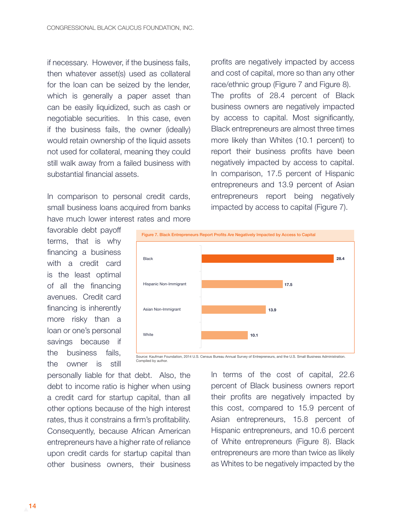if necessary. However, if the business fails, then whatever asset(s) used as collateral for the loan can be seized by the lender, which is generally a paper asset than can be easily liquidized, such as cash or negotiable securities. In this case, even if the business fails, the owner (ideally) would retain ownership of the liquid assets not used for collateral, meaning they could still walk away from a failed business with substantial financial assets.

In comparison to personal credit cards, small business loans acquired from banks have much lower interest rates and more

favorable debt payoff terms, that is why financing a business with a credit card is the least optimal of all the financing avenues. Credit card financing is inherently more risky than a loan or one's personal savings because if the business fails, the owner is still



Source: Kaufman Foundation, 2014 U.S. Census Bureau Annual Survey of Entrepreneurs, and the U.S. Small Business Administration. Compiled by author.

personally liable for that debt. Also, the debt to income ratio is higher when using a credit card for startup capital, than all other options because of the high interest rates, thus it constrains a firm's profitability. Consequently, because African American entrepreneurs have a higher rate of reliance upon credit cards for startup capital than other business owners, their business

In terms of the cost of capital, 22.6 percent of Black business owners report their profits are negatively impacted by this cost, compared to 15.9 percent of Asian entrepreneurs, 15.8 percent of Hispanic entrepreneurs, and 10.6 percent of White entrepreneurs (Figure 8). Black entrepreneurs are more than twice as likely as Whites to be negatively impacted by the

and cost of capital, more so than any other race/ethnic group (Figure 7 and Figure 8). The profits of 28.4 percent of Black business owners are negatively impacted by access to capital. Most significantly, Black entrepreneurs are almost three times more likely than Whites (10.1 percent) to report their business profits have been negatively impacted by access to capital. In comparison, 17.5 percent of Hispanic entrepreneurs and 13.9 percent of Asian entrepreneurs report being negatively impacted by access to capital (Figure 7).

profits are negatively impacted by access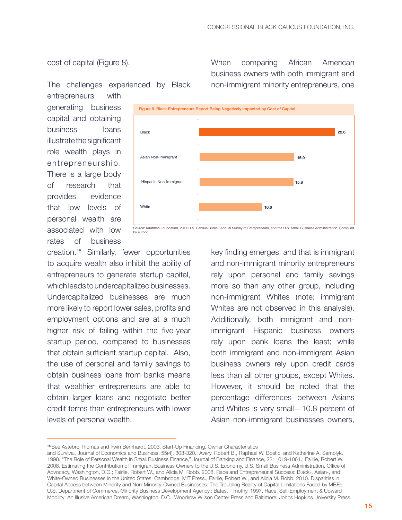When comparing African American business owners with both immigrant and non-immigrant minority entrepreneurs, one

cost of capital (Figure 8).

The challenges experienced by Black

entrepreneurs with generating business capital and obtaining business loans illustrate the significant role wealth plays in entrepreneurship. There is a large body of research that provides evidence that low levels of personal wealth are associated with low rates of business



Source: Kaufman Foundation, 2014 U.S. Census Bureau Annual Survey of Entrepreneurs, and the U.S. Small Business Administration. Compiled by author.

creation.15 Similarly, fewer opportunities to acquire wealth also inhibit the ability of entrepreneurs to generate startup capital, which leads to undercapitalized businesses. Undercapitalized businesses are much more likely to report lower sales, profits and employment options and are at a much higher risk of failing within the five-year startup period, compared to businesses that obtain sufficient startup capital. Also, the use of personal and family savings to obtain business loans from banks means that wealthier entrepreneurs are able to obtain larger loans and negotiate better credit terms than entrepreneurs with lower levels of personal wealth.

key finding emerges, and that is immigrant and non-immigrant minority entrepreneurs rely upon personal and family savings more so than any other group, including non-immigrant Whites (note: immigrant Whites are not observed in this analysis). Additionally, both immigrant and nonimmigrant Hispanic business owners rely upon bank loans the least; while both immigrant and non-immigrant Asian business owners rely upon credit cards less than all other groups, except Whites. However, it should be noted that the percentage differences between Asians and Whites is very small—10.8 percent of Asian non-immigrant businesses owners,

<sup>15</sup> See Astebro Thomas and Irwin Bernhardt. 2003. Start-Up Financing, Owner Characteristics

and Survival, Journal of Economics and Business, 55(4), 303-320.; Avery, Robert B., Raphael W. Bostic, and Katherine A. Samolyk. 1998. "The Role of Personal Wealth in Small Business Finance," Journal of Banking and Finance, 22: 1019-1061.; Fairlie, Robert W. 2008. Estimating the Contribution of Immigrant Business Owners to the U.S. Economy, U.S. Small Business Administration, Office of Advocacy, Washington, D.C.; Fairlie, Robert W., and Alicia M. Robb. 2008. Race and Entrepreneurial Success: Black-, Asian-, and White-Owned Businesses in the United States, Cambridge: MIT Press.; Fairlie, Robert W., and Alicia M. Robb. 2010. Disparities in Capital Access between Minority and Non-Minority-Owned Businesses: The Troubling Reality of Capital Limitations Faced by MBEs, U.S. Department of Commerce, Minority Business Development Agency.; Bates, Timothy. 1997. Race, Self-Employment & Upward Mobility: An Illusive American Dream, Washington, D.C.: Woodrow Wilson Center Press and Baltimore: Johns Hopkins University Press.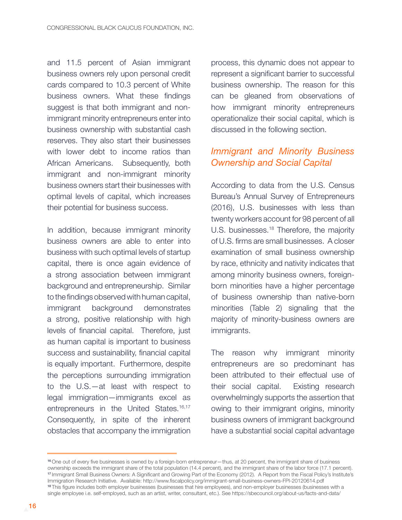and 11.5 percent of Asian immigrant business owners rely upon personal credit cards compared to 10.3 percent of White business owners. What these findings suggest is that both immigrant and nonimmigrant minority entrepreneurs enter into business ownership with substantial cash reserves. They also start their businesses with lower debt to income ratios than African Americans. Subsequently, both immigrant and non-immigrant minority business owners start their businesses with optimal levels of capital, which increases their potential for business success.

In addition, because immigrant minority business owners are able to enter into business with such optimal levels of startup capital, there is once again evidence of a strong association between immigrant background and entrepreneurship. Similar to the findings observed with human capital, immigrant background demonstrates a strong, positive relationship with high levels of financial capital. Therefore, just as human capital is important to business success and sustainability, financial capital is equally important. Furthermore, despite the perceptions surrounding immigration to the U.S.—at least with respect to legal immigration—immigrants excel as entrepreneurs in the United States.<sup>16,17</sup> Consequently, in spite of the inherent obstacles that accompany the immigration

process, this dynamic does not appear to represent a significant barrier to successful business ownership. The reason for this can be gleaned from observations of how immigrant minority entrepreneurs operationalize their social capital, which is discussed in the following section.

#### *Immigrant and Minority Business Ownership and Social Capital*

According to data from the U.S. Census Bureau's Annual Survey of Entrepreneurs (2016), U.S. businesses with less than twenty workers account for 98 percent of all U.S. businesses.<sup>18</sup> Therefore, the majority of U.S. firms are small businesses. A closer examination of small business ownership by race, ethnicity and nativity indicates that among minority business owners, foreignborn minorities have a higher percentage of business ownership than native-born minorities (Table 2) signaling that the majority of minority-business owners are immigrants.

The reason why immigrant minority entrepreneurs are so predominant has been attributed to their effectual use of their social capital. Existing research overwhelmingly supports the assertion that owing to their immigrant origins, minority business owners of immigrant background have a substantial social capital advantage

<sup>16</sup> One out of every five businesses is owned by a foreign-born entrepreneur—thus, at 20 percent, the immigrant share of business ownership exceeds the immigrant share of the total population (14.4 percent), and the immigrant share of the labor force (17.1 percent). <sup>17</sup> Immigrant Small Business Owners: A Significant and Growing Part of the Economy (2012). A Report from the Fiscal Policy's Institute's Immigration Research Initiative. Available: http://www.fiscalpolicy.org/immigrant-small-business-owners-FPI-20120614.pdf <sup>18</sup> This figure includes both employer businesses (businesses that hire employees), and non-employer businesses (businesses with a single employee i.e. self-employed, such as an artist, writer, consultant, etc.). See https://sbecouncil.org/about-us/facts-and-data/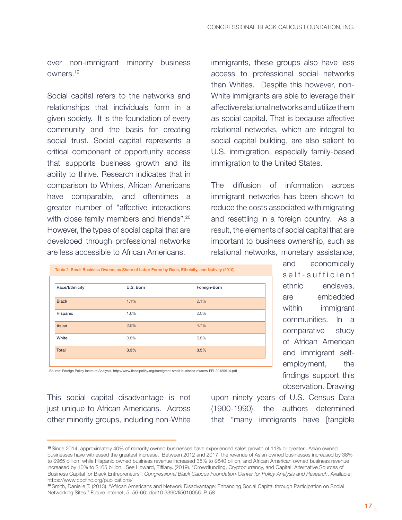over non-immigrant minority business owners.19

Social capital refers to the networks and relationships that individuals form in a given society. It is the foundation of every community and the basis for creating social trust. Social capital represents a critical component of opportunity access that supports business growth and its ability to thrive. Research indicates that in comparison to Whites, African Americans have comparable, and oftentimes a greater number of "affective interactions with close family members and friends".<sup>20</sup> However, the types of social capital that are developed through professional networks are less accessible to African Americans.

immigrants, these groups also have less access to professional social networks than Whites. Despite this however, non-White immigrants are able to leverage their affective relational networks and utilize them as social capital. That is because affective relational networks, which are integral to social capital building, are also salient to U.S. immigration, especially family-based immigration to the United States.

The diffusion of information across immigrant networks has been shown to reduce the costs associated with migrating and resettling in a foreign country. As a result, the elements of social capital that are important to business ownership, such as relational networks, monetary assistance,

|                | Table 2. Small Business Owners as Share of Labor Force by Race, Ethnicity, and Nativity (2010) |              |
|----------------|------------------------------------------------------------------------------------------------|--------------|
| Race/Ethnicity | U.S. Born                                                                                      | Foreign-Born |
| <b>Black</b>   | 1.1%                                                                                           | 2.1%         |
| Hispanic       | 1.6%                                                                                           | 2.0%         |
| Asian          | 2.5%                                                                                           | 4.7%         |
| White          | 3.8%                                                                                           | 6.8%         |
| <b>Total</b>   | 3.3%                                                                                           | 3.5%         |

and economically s elf - sufficient ethnic enclaves, are embedded within immigrant communities. In a comparative study of African American and immigrant selfemployment, the findings support this observation. Drawing

Source: Foreign Policy Institute Analysis. http://www.fiscalpolicy.org/immigrant-small-business-owners-FPI-20120614.pdf

This social capital disadvantage is not just unique to African Americans. Across other minority groups, including non-White

upon ninety years of U.S. Census Data (1900-1990), the authors determined that "many immigrants have [tangible

<sup>19</sup> Since 2014, approximately 40% of minority owned businesses have experienced sales growth of 11% or greater. Asian owned businesses have witnessed the greatest increase. Between 2012 and 2017, the revenue of Asian owned businesses increased by 38% to \$965 billion; while Hispanic owned business revenue increased 35% to \$640 billion, and African American owned business revenue increased by 10% to \$165 billion. See Howard, Tiffiany. (2019). "Crowdfunding, Cryptocurrency, and Capital: Alternative Sources of Business Capital for Black Entrepreneurs". *Congressional Black Caucus Foundation-Center for Policy Analysis and Research*. Available: https://www.cbcfinc.org/publications/

<sup>20</sup> Smith, Danielle T. (2013). "African Americans and Network Disadvantage: Enhancing Social Capital through Participation on Social Networking Sites." Future Internet, 5, 56-66; doi:10.3390/fi5010056. P. 58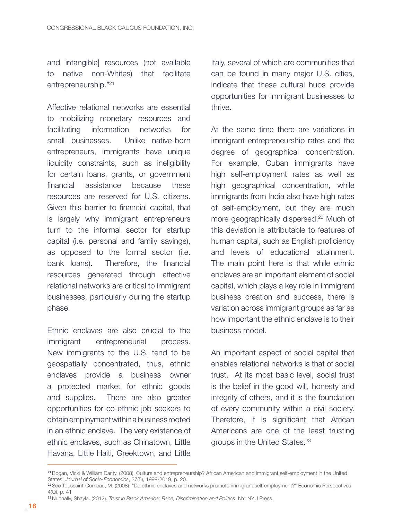and intangible] resources (not available to native non-Whites) that facilitate entrepreneurship."21

Affective relational networks are essential to mobilizing monetary resources and facilitating information networks for small businesses. Unlike native-born entrepreneurs, immigrants have unique liquidity constraints, such as ineligibility for certain loans, grants, or government financial assistance because these resources are reserved for U.S. citizens. Given this barrier to financial capital, that is largely why immigrant entrepreneurs turn to the informal sector for startup capital (i.e. personal and family savings), as opposed to the formal sector (i.e. bank loans). Therefore, the financial resources generated through affective relational networks are critical to immigrant businesses, particularly during the startup phase.

Ethnic enclaves are also crucial to the immigrant entrepreneurial process. New immigrants to the U.S. tend to be geospatially concentrated, thus, ethnic enclaves provide a business owner a protected market for ethnic goods and supplies. There are also greater opportunities for co-ethnic job seekers to obtain employment within a business rooted in an ethnic enclave. The very existence of ethnic enclaves, such as Chinatown, Little Havana, Little Haiti, Greektown, and Little

Italy, several of which are communities that can be found in many major U.S. cities, indicate that these cultural hubs provide opportunities for immigrant businesses to thrive.

At the same time there are variations in immigrant entrepreneurship rates and the degree of geographical concentration. For example, Cuban immigrants have high self-employment rates as well as high geographical concentration, while immigrants from India also have high rates of self-employment, but they are much more geographically dispersed.<sup>22</sup> Much of this deviation is attributable to features of human capital, such as English proficiency and levels of educational attainment. The main point here is that while ethnic enclaves are an important element of social capital, which plays a key role in immigrant business creation and success, there is variation across immigrant groups as far as how important the ethnic enclave is to their business model.

An important aspect of social capital that enables relational networks is that of social trust. At its most basic level, social trust is the belief in the good will, honesty and integrity of others, and it is the foundation of every community within a civil society. Therefore, it is significant that African Americans are one of the least trusting groups in the United States.23

<sup>23</sup> Nunnally, Shayla. (2012). *Trust in Black America: Race, Discrimination and Politics*. NY: NYU Press.

<sup>&</sup>lt;sup>21</sup> Bogan, Vicki & William Darity. (2008). Culture and entrepreneurship? African American and immigrant self-employment in the United States. *Journal of Socio-Economics*, 37(5), 1999-2019, p. 20.

<sup>22</sup> See Toussaint-Comeau, M. (2008). "Do ethnic enclaves and networks promote immigrant self-employment?" Economic Perspectives, 4(Q), p. 41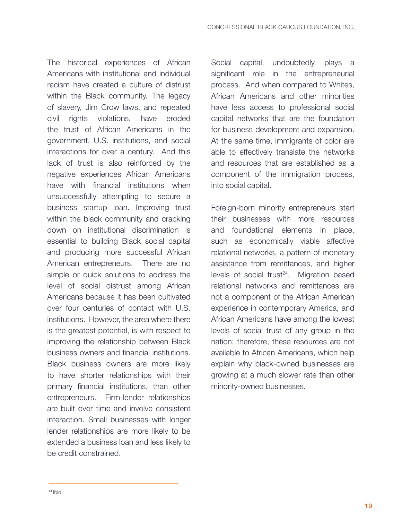The historical experiences of African Americans with institutional and individual racism have created a culture of distrust within the Black community. The legacy of slavery, Jim Crow laws, and repeated civil rights violations, have eroded the trust of African Americans in the government, U.S. institutions, and social interactions for over a century. And this lack of trust is also reinforced by the negative experiences African Americans have with financial institutions when unsuccessfully attempting to secure a business startup loan. Improving trust within the black community and cracking down on institutional discrimination is essential to building Black social capital and producing more successful African American entrepreneurs. There are no simple or quick solutions to address the level of social distrust among African Americans because it has been cultivated over four centuries of contact with U.S. institutions. However, the area where there is the greatest potential, is with respect to improving the relationship between Black business owners and financial institutions. Black business owners are more likely to have shorter relationships with their primary financial institutions, than other entrepreneurs. Firm-lender relationships are built over time and involve consistent interaction. Small businesses with longer lender relationships are more likely to be extended a business loan and less likely to be credit constrained.

Social capital, undoubtedly, plays a significant role in the entrepreneurial process. And when compared to Whites, African Americans and other minorities have less access to professional social capital networks that are the foundation for business development and expansion. At the same time, immigrants of color are able to effectively translate the networks and resources that are established as a component of the immigration process, into social capital.

Foreign-born minority entrepreneurs start their businesses with more resources and foundational elements in place, such as economically viable affective relational networks, a pattern of monetary assistance from remittances, and higher levels of social trust<sup>24</sup>. Migration based relational networks and remittances are not a component of the African American experience in contemporary America, and African Americans have among the lowest levels of social trust of any group in the nation; therefore, these resources are not available to African Americans, which help explain why black-owned businesses are growing at a much slower rate than other minority-owned businesses.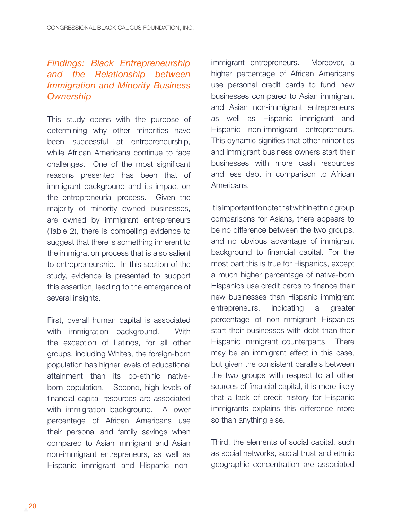#### *Findings: Black Entrepreneurship and the Relationship between Immigration and Minority Business Ownership*

This study opens with the purpose of determining why other minorities have been successful at entrepreneurship, while African Americans continue to face challenges. One of the most significant reasons presented has been that of immigrant background and its impact on the entrepreneurial process. Given the majority of minority owned businesses, are owned by immigrant entrepreneurs (Table 2), there is compelling evidence to suggest that there is something inherent to the immigration process that is also salient to entrepreneurship. In this section of the study, evidence is presented to support this assertion, leading to the emergence of several insights.

First, overall human capital is associated with immigration background. With the exception of Latinos, for all other groups, including Whites, the foreign-born population has higher levels of educational attainment than its co-ethnic nativeborn population. Second, high levels of financial capital resources are associated with immigration background. A lower percentage of African Americans use their personal and family savings when compared to Asian immigrant and Asian non-immigrant entrepreneurs, as well as Hispanic immigrant and Hispanic nonimmigrant entrepreneurs. Moreover, a higher percentage of African Americans use personal credit cards to fund new businesses compared to Asian immigrant and Asian non-immigrant entrepreneurs as well as Hispanic immigrant and Hispanic non-immigrant entrepreneurs. This dynamic signifies that other minorities and immigrant business owners start their businesses with more cash resources and less debt in comparison to African Americans.

It is important to note that within ethnic group comparisons for Asians, there appears to be no difference between the two groups, and no obvious advantage of immigrant background to financial capital. For the most part this is true for Hispanics, except a much higher percentage of native-born Hispanics use credit cards to finance their new businesses than Hispanic immigrant entrepreneurs, indicating a greater percentage of non-immigrant Hispanics start their businesses with debt than their Hispanic immigrant counterparts. There may be an immigrant effect in this case, but given the consistent parallels between the two groups with respect to all other sources of financial capital, it is more likely that a lack of credit history for Hispanic immigrants explains this difference more so than anything else.

Third, the elements of social capital, such as social networks, social trust and ethnic geographic concentration are associated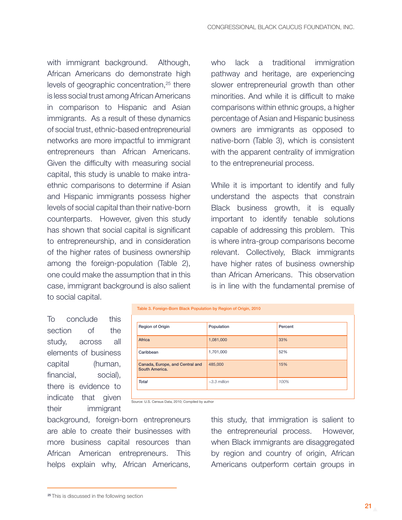with immigrant background. Although, African Americans do demonstrate high levels of geographic concentration,<sup>25</sup> there is less social trust among African Americans in comparison to Hispanic and Asian immigrants. As a result of these dynamics of social trust, ethnic-based entrepreneurial networks are more impactful to immigrant entrepreneurs than African Americans. Given the difficulty with measuring social capital, this study is unable to make intraethnic comparisons to determine if Asian and Hispanic immigrants possess higher levels of social capital than their native-born counterparts. However, given this study has shown that social capital is significant to entrepreneurship, and in consideration of the higher rates of business ownership among the foreign-population (Table 2), one could make the assumption that in this case, immigrant background is also salient to social capital.

who lack a traditional immigration pathway and heritage, are experiencing slower entrepreneurial growth than other minorities. And while it is difficult to make comparisons within ethnic groups, a higher percentage of Asian and Hispanic business owners are immigrants as opposed to native-born (Table 3), which is consistent with the apparent centrality of immigration to the entrepreneurial process.

While it is important to identify and fully understand the aspects that constrain Black business growth, it is equally important to identify tenable solutions capable of addressing this problem. This is where intra-group comparisons become relevant. Collectively, Black immigrants have higher rates of business ownership than African Americans. This observation is in line with the fundamental premise of

To conclude this section of the study, across all elements of business capital (human, financial, social), there is evidence to indicate that given their immigrant

| Region of Origin                                  | Population          | Percent |
|---------------------------------------------------|---------------------|---------|
| Africa                                            | 1,081,000           | 33%     |
| Caribbean                                         | 1,701,000           | 52%     |
| Canada, Europe, and Central and<br>South America. | 485,000             | 15%     |
| <b>Total</b>                                      | $~\sim$ 3.3 million | 100%    |

Source: U.S. Census Data, 2010; Compiled by author

Table 3. Foreign-Born Black Population by Region of Origin, 2010

background, foreign-born entrepreneurs are able to create their businesses with more business capital resources than African American entrepreneurs. This helps explain why, African Americans,

this study, that immigration is salient to the entrepreneurial process. However, when Black immigrants are disaggregated by region and country of origin, African Americans outperform certain groups in

<sup>25</sup> This is discussed in the following section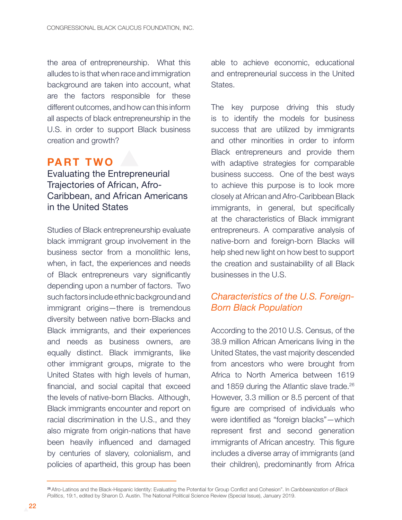the area of entrepreneurship. What this alludes to is that when race and immigration background are taken into account, what are the factors responsible for these different outcomes, and how can this inform all aspects of black entrepreneurship in the U.S. in order to support Black business creation and growth?

#### **PART TWO**

Evaluating the Entrepreneurial Trajectories of African, Afro-Caribbean, and African Americans in the United States

Studies of Black entrepreneurship evaluate black immigrant group involvement in the business sector from a monolithic lens, when, in fact, the experiences and needs of Black entrepreneurs vary significantly depending upon a number of factors. Two such factors include ethnic background and immigrant origins—there is tremendous diversity between native born-Blacks and Black immigrants, and their experiences and needs as business owners, are equally distinct. Black immigrants, like other immigrant groups, migrate to the United States with high levels of human, financial, and social capital that exceed the levels of native-born Blacks. Although, Black immigrants encounter and report on racial discrimination in the U.S., and they also migrate from origin-nations that have been heavily influenced and damaged by centuries of slavery, colonialism, and policies of apartheid, this group has been

able to achieve economic, educational and entrepreneurial success in the United States.

The key purpose driving this study is to identify the models for business success that are utilized by immigrants and other minorities in order to inform Black entrepreneurs and provide them with adaptive strategies for comparable business success. One of the best ways to achieve this purpose is to look more closely at African and Afro-Caribbean Black immigrants, in general, but specifically at the characteristics of Black immigrant entrepreneurs. A comparative analysis of native-born and foreign-born Blacks will help shed new light on how best to support the creation and sustainability of all Black businesses in the U.S.

#### *Characteristics of the U.S. Foreign-Born Black Population*

According to the 2010 U.S. Census, of the 38.9 million African Americans living in the United States, the vast majority descended from ancestors who were brought from Africa to North America between 1619 and 1859 during the Atlantic slave trade.<sup>26</sup> However, 3.3 million or 8.5 percent of that figure are comprised of individuals who were identified as "foreign blacks"—which represent first and second generation immigrants of African ancestry. This figure includes a diverse array of immigrants (and their children), predominantly from Africa

<sup>26</sup> Afro-Latinos and the Black-Hispanic Identity: Evaluating the Potential for Group Conflict and Cohesion". In *Caribbeanization of Black Politics*, 19:1, edited by Sharon D. Austin. The National Political Science Review (Special Issue), January 2019.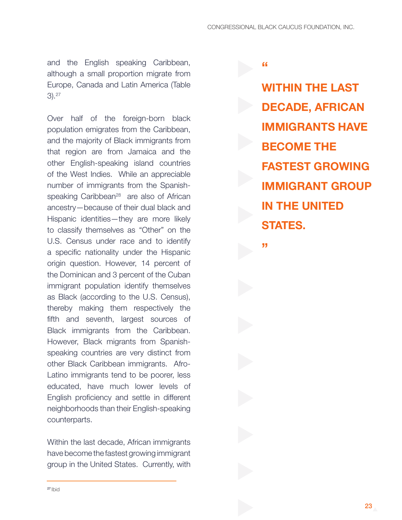and the English speaking Caribbean, although a small proportion migrate from Europe, Canada and Latin America (Table 3).27

Over half of the foreign-born black population emigrates from the Caribbean, and the majority of Black immigrants from that region are from Jamaica and the other English-speaking island countries of the West Indies. While an appreciable number of immigrants from the Spanishspeaking Caribbean<sup>28</sup> are also of African ancestry—because of their dual black and Hispanic identities—they are more likely to classify themselves as "Other" on the U.S. Census under race and to identify a specific nationality under the Hispanic origin question. However, 14 percent of the Dominican and 3 percent of the Cuban immigrant population identify themselves as Black (according to the U.S. Census), thereby making them respectively the fifth and seventh, largest sources of Black immigrants from the Caribbean. However, Black migrants from Spanishspeaking countries are very distinct from other Black Caribbean immigrants. Afro-Latino immigrants tend to be poorer, less educated, have much lower levels of English proficiency and settle in different neighborhoods than their English-speaking counterparts.

Within the last decade, African immigrants have become the fastest growing immigrant group in the United States. Currently, with **"**

**WITHIN THE LAST DECADE, AFRICAN IMMIGRANTS HAVE BECOME THE FASTEST GROWING IMMIGRANT GROUP IN THE UNITED STATES.**

**"**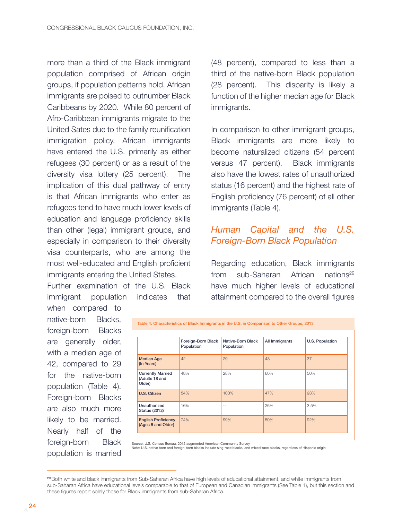more than a third of the Black immigrant population comprised of African origin groups, if population patterns hold, African immigrants are poised to outnumber Black Caribbeans by 2020. While 80 percent of Afro-Caribbean immigrants migrate to the United Sates due to the family reunification immigration policy, African immigrants have entered the U.S. primarily as either refugees (30 percent) or as a result of the diversity visa lottery (25 percent). The implication of this dual pathway of entry is that African immigrants who enter as refugees tend to have much lower levels of education and language proficiency skills than other (legal) immigrant groups, and especially in comparison to their diversity visa counterparts, who are among the most well-educated and English proficient immigrants entering the United States.

Further examination of the U.S. Black immigrant population indicates that when compared to native-born Blacks, foreign-born Blacks

are generally older, with a median age of 42, compared to 29 for the native-born population (Table 4). Foreign-born Blacks are also much more likely to be married. Nearly half of the foreign-born Black population is married

(48 percent), compared to less than a third of the native-born Black population (28 percent). This disparity is likely a function of the higher median age for Black immigrants.

In comparison to other immigrant groups, Black immigrants are more likely to become naturalized citizens (54 percent versus 47 percent). Black immigrants also have the lowest rates of unauthorized status (16 percent) and the highest rate of English proficiency (76 percent) of all other immigrants (Table 4).

#### *Human Capital and the U.S. Foreign-Born Black Population*

Regarding education, Black immigrants from sub-Saharan African nations<sup>29</sup> have much higher levels of educational attainment compared to the overall figures

| Table 4. Characteristics of Black Immigrants in the U.S. in Comparison to Other Groups, 2013 |                                  |                                 |                |                 |
|----------------------------------------------------------------------------------------------|----------------------------------|---------------------------------|----------------|-----------------|
|                                                                                              | Foreign-Born Black<br>Population | Native-Born Black<br>Population | All Immigrants | U.S. Population |
| <b>Median Age</b><br>(In Years)                                                              | 42                               | 29                              | 43             | 37              |
| <b>Currently Married</b><br>(Adults 18 and<br>Older)                                         | 48%                              | 28%                             | 60%            | 50%             |
| U.S. Citizen                                                                                 | 54%                              | 100%                            | 47%            | 93%             |
| Unauthorized<br><b>Status (2012)</b>                                                         | 16%                              | $-1$                            | 26%            | 3.5%            |
| <b>English Proficiency</b><br>(Ages 5 and Older)                                             | 74%                              | 99%                             | 50%            | 92%             |

Source: U.S. Census Bureau, 2012 augmented American Community Survey

Note: U.S. native born and foreign-born blacks include sing-race blacks, and mixed-race blacks, regardless of Hispanic origin

<sup>&</sup>lt;sup>29</sup> Both white and black immigrants from Sub-Saharan Africa have high levels of educational attainment, and white immigrants from sub-Saharan Africa have educational levels comparable to that of European and Canadian immigrants (See Table 1), but this section and these figures report solely those for Black immigrants from sub-Saharan Africa.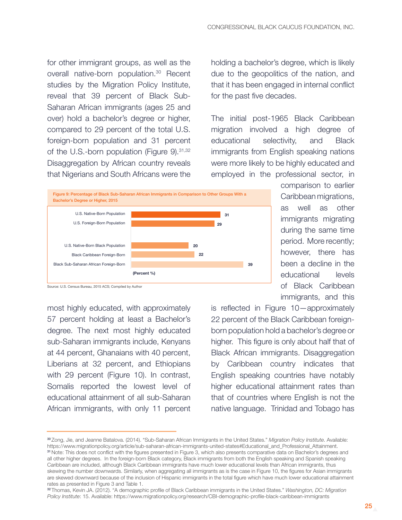for other immigrant groups, as well as the overall native-born population.30 Recent studies by the Migration Policy Institute, reveal that 39 percent of Black Sub-Saharan African immigrants (ages 25 and over) hold a bachelor's degree or higher, compared to 29 percent of the total U.S. foreign-born population and 31 percent of the U.S.-born population (Figure 9). 31,32 Disaggregation by African country reveals that Nigerians and South Africans were the

holding a bachelor's degree, which is likely due to the geopolitics of the nation, and that it has been engaged in internal conflict for the past five decades.

The initial post-1965 Black Caribbean migration involved a high degree of educational selectivity, and Black immigrants from English speaking nations were more likely to be highly educated and employed in the professional sector, in



Source: U.S. Census Bureau, 2015 ACS; Compiled by Author

most highly educated, with approximately 57 percent holding at least a Bachelor's degree. The next most highly educated sub-Saharan immigrants include, Kenyans at 44 percent, Ghanaians with 40 percent, Liberians at 32 percent, and Ethiopians with 29 percent (Figure 10). In contrast, Somalis reported the lowest level of educational attainment of all sub-Saharan African immigrants, with only 11 percent

comparison to earlier Caribbean migrations, as well as other immigrants migrating during the same time period. More recently; however, there has been a decline in the educational levels of Black Caribbean immigrants, and this

is reflected in Figure 10—approximately 22 percent of the Black Caribbean foreignborn population hold a bachelor's degree or higher. This figure is only about half that of Black African immigrants. Disaggregation by Caribbean country indicates that English speaking countries have notably higher educational attainment rates than that of countries where English is not the native language. Trinidad and Tobago has

<sup>30</sup> Zong, Jie, and Jeanne Batalova. (2014). "Sub-Saharan African Immigrants in the United States." *Migration Policy Institute*. Available: https://www.migrationpolicy.org/article/sub-saharan-african-immigrants-united-states#Educational\_and\_Professional\_Attainment. <sup>31</sup> Note: This does not conflict with the figures presented in Figure 3, which also presents comparative data on Bachelor's degrees and all other higher degrees. In the foreign-born Black category, Black immigrants from both the English speaking and Spanish speaking Caribbean are included, although Black Caribbean immigrants have much lower educational levels than African immigrants, thus skewing the number downwards. Similarly, when aggregating all immigrants as is the case in Figure 10, the figures for Asian immigrants are skewed downward because of the inclusion of Hispanic immigrants in the total figure which have much lower educational attainment rates as presented in Figure 3 and Table 1.

<sup>32</sup> Thomas, Kevin JA. (2012). "A demographic profile of Black Caribbean immigrants in the United States." *Washington, DC: Migration Policy Institute*: 15. Available: https://www.migrationpolicy.org/research/CBI-demographic-profile-black-caribbean-immigrants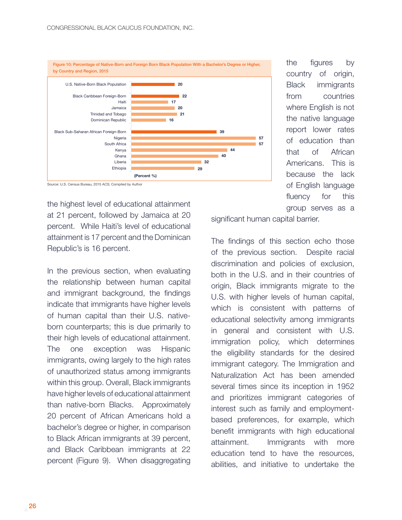

Source: U.S. Census Bureau, 2015 ACS; Compiled by Author

the highest level of educational attainment at 21 percent, followed by Jamaica at 20 percent. While Haiti's level of educational attainment is 17 percent and the Dominican Republic's is 16 percent.

In the previous section, when evaluating the relationship between human capital and immigrant background, the findings indicate that immigrants have higher levels of human capital than their U.S. nativeborn counterparts; this is due primarily to their high levels of educational attainment. The one exception was Hispanic immigrants, owing largely to the high rates of unauthorized status among immigrants within this group. Overall, Black immigrants have higher levels of educational attainment than native-born Blacks. Approximately 20 percent of African Americans hold a bachelor's degree or higher, in comparison to Black African immigrants at 39 percent, and Black Caribbean immigrants at 22 percent (Figure 9). When disaggregating

the figures by country of origin, Black immigrants from countries where English is not the native language report lower rates of education than that of African Americans. This is because the lack of English language fluency for this group serves as a

significant human capital barrier.

The findings of this section echo those of the previous section. Despite racial discrimination and policies of exclusion, both in the U.S. and in their countries of origin, Black immigrants migrate to the U.S. with higher levels of human capital, which is consistent with patterns of educational selectivity among immigrants in general and consistent with U.S. immigration policy, which determines the eligibility standards for the desired immigrant category. The Immigration and Naturalization Act has been amended several times since its inception in 1952 and prioritizes immigrant categories of interest such as family and employmentbased preferences, for example, which benefit immigrants with high educational attainment. Immigrants with more education tend to have the resources, abilities, and initiative to undertake the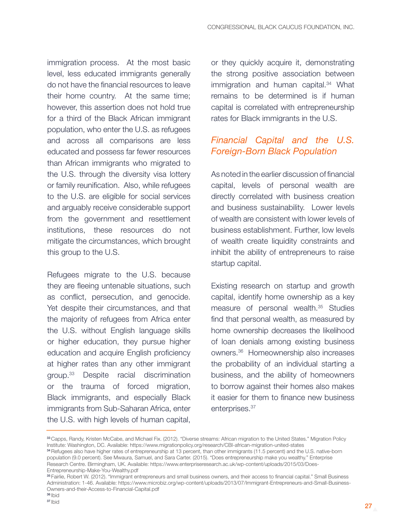immigration process. At the most basic level, less educated immigrants generally do not have the financial resources to leave their home country. At the same time; however, this assertion does not hold true for a third of the Black African immigrant population, who enter the U.S. as refugees and across all comparisons are less educated and possess far fewer resources than African immigrants who migrated to the U.S. through the diversity visa lottery or family reunification. Also, while refugees to the U.S. are eligible for social services and arguably receive considerable support from the government and resettlement institutions, these resources do not mitigate the circumstances, which brought this group to the U.S.

Refugees migrate to the U.S. because they are fleeing untenable situations, such as conflict, persecution, and genocide. Yet despite their circumstances, and that the majority of refugees from Africa enter the U.S. without English language skills or higher education, they pursue higher education and acquire English proficiency at higher rates than any other immigrant group.33 Despite racial discrimination or the trauma of forced migration, Black immigrants, and especially Black immigrants from Sub-Saharan Africa, enter the U.S. with high levels of human capital,

or they quickly acquire it, demonstrating the strong positive association between immigration and human capital.<sup>34</sup> What remains to be determined is if human capital is correlated with entrepreneurship rates for Black immigrants in the U.S.

#### *Financial Capital and the U.S. Foreign-Born Black Population*

As noted in the earlier discussion of financial capital, levels of personal wealth are directly correlated with business creation and business sustainability. Lower levels of wealth are consistent with lower levels of business establishment. Further, low levels of wealth create liquidity constraints and inhibit the ability of entrepreneurs to raise startup capital.

Existing research on startup and growth capital, identify home ownership as a key measure of personal wealth.<sup>35</sup> Studies find that personal wealth, as measured by home ownership decreases the likelihood of loan denials among existing business owners.36 Homeownership also increases the probability of an individual starting a business, and the ability of homeowners to borrow against their homes also makes it easier for them to finance new business enterprises.<sup>37</sup>

<sup>33</sup> Capps, Randy, Kristen McCabe, and Michael Fix. (2012). "Diverse streams: African migration to the United States." Migration Policy Institute: Washington, DC. Available: https://www.migrationpolicy.org/research/CBI-african-migration-united-states

<sup>34</sup>Refugees also have higher rates of entrepreneurship at 13 percent, than other immigrants (11.5 percent) and the U.S. native-born population (9.0 percent). See Mwaura, Samuel, and Sara Carter. (2015). "Does entrepreneurship make you wealthy." Enterprise Research Centre. Birmingham, UK. Available: https://www.enterpriseresearch.ac.uk/wp-content/uploads/2015/03/Does-Entrepreneurship-Make-You-Wealthy.pdf

<sup>35</sup> Fairlie, Robert W. (2012). "Immigrant entrepreneurs and small business owners, and their access to financial capital." Small Business Administration: 1-46. Available: https://www.microbiz.org/wp-content/uploads/2013/07/Immigrant-Entrepreneurs-and-Small-Business-Owners-and-their-Access-to-Financial-Capital.pdf

<sup>36</sup> Ibid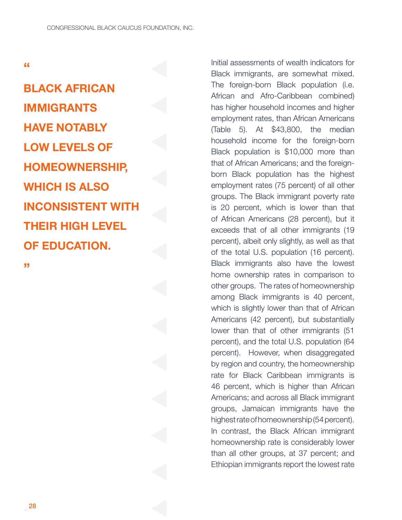**"**

**BLACK AFRICAN IMMIGRANTS HAVE NOTABLY LOW LEVELS OF HOMEOWNERSHIP, WHICH IS ALSO INCONSISTENT WITH THEIR HIGH LEVEL OF EDUCATION.**

**"**

Initial assessments of wealth indicators for Black immigrants, are somewhat mixed. The foreign-born Black population (i.e. African and Afro-Caribbean combined) has higher household incomes and higher employment rates, than African Americans (Table 5). At \$43,800, the median household income for the foreign-born Black population is \$10,000 more than that of African Americans; and the foreignborn Black population has the highest employment rates (75 percent) of all other groups. The Black immigrant poverty rate is 20 percent, which is lower than that of African Americans (28 percent), but it exceeds that of all other immigrants (19 percent), albeit only slightly, as well as that of the total U.S. population (16 percent). Black immigrants also have the lowest home ownership rates in comparison to other groups. The rates of homeownership among Black immigrants is 40 percent, which is slightly lower than that of African Americans (42 percent), but substantially lower than that of other immigrants (51 percent), and the total U.S. population (64 percent). However, when disaggregated by region and country, the homeownership rate for Black Caribbean immigrants is 46 percent, which is higher than African Americans; and across all Black immigrant groups, Jamaican immigrants have the highest rate of homeownership (54 percent). In contrast, the Black African immigrant homeownership rate is considerably lower than all other groups, at 37 percent; and Ethiopian immigrants report the lowest rate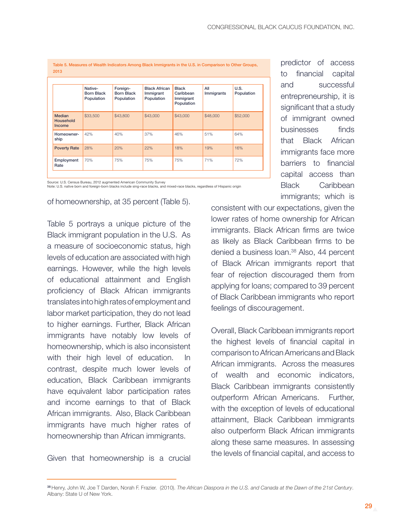| 2013                                        | Table 5. Measures of Wealth Indicators Among Black Immigrants in the U.S. in Comparison to Other Groups, |                                             |                                                 |                                                      |                   |                           |
|---------------------------------------------|----------------------------------------------------------------------------------------------------------|---------------------------------------------|-------------------------------------------------|------------------------------------------------------|-------------------|---------------------------|
|                                             | Native-<br><b>Born Black</b><br>Population                                                               | Foreign-<br><b>Born Black</b><br>Population | <b>Black African</b><br>Immigrant<br>Population | <b>Black</b><br>Caribbean<br>Immigrant<br>Population | All<br>Immigrants | <b>U.S.</b><br>Population |
| <b>Median</b><br><b>Household</b><br>Income | \$33,500                                                                                                 | \$43,800                                    | \$43,000                                        | \$43,000                                             | \$48,000          | \$52,000                  |
| Homeowner-<br>ship                          | 42%                                                                                                      | 40%                                         | 37%                                             | 46%                                                  | 51%               | 64%                       |
| <b>Poverty Rate</b>                         | 28%                                                                                                      | 20%                                         | 22%                                             | 18%                                                  | 19%               | 16%                       |
| Employment<br>Rate                          | 70%                                                                                                      | 75%                                         | 75%                                             | 75%                                                  | 71%               | 72%                       |

Source: U.S. Census Bureau, 2012 augmented American Community Survey Note: U.S. native born and foreign-born blacks include sing-race blacks, and mixed-race blacks, regardless of Hispanic origin

of homeownership, at 35 percent (Table 5).

Table 5 portrays a unique picture of the Black immigrant population in the U.S. As a measure of socioeconomic status, high levels of education are associated with high earnings. However, while the high levels of educational attainment and English proficiency of Black African immigrants translates into high rates of employment and labor market participation, they do not lead to higher earnings. Further, Black African immigrants have notably low levels of homeownership, which is also inconsistent with their high level of education. In contrast, despite much lower levels of education, Black Caribbean immigrants have equivalent labor participation rates and income earnings to that of Black African immigrants. Also, Black Caribbean immigrants have much higher rates of homeownership than African immigrants.

Given that homeownership is a crucial

predictor of access to financial capital and successful entrepreneurship, it is significant that a study of immigrant owned businesses finds that Black African immigrants face more barriers to financial capital access than Black Caribbean immigrants; which is

consistent with our expectations, given the lower rates of home ownership for African immigrants. Black African firms are twice as likely as Black Caribbean firms to be denied a business loan.<sup>38</sup> Also, 44 percent of Black African immigrants report that fear of rejection discouraged them from applying for loans; compared to 39 percent of Black Caribbean immigrants who report feelings of discouragement.

Overall, Black Caribbean immigrants report the highest levels of financial capital in comparison to African Americans and Black African immigrants. Across the measures of wealth and economic indicators, Black Caribbean immigrants consistently outperform African Americans. Further, with the exception of levels of educational attainment, Black Caribbean immigrants also outperform Black African immigrants along these same measures. In assessing the levels of financial capital, and access to

<sup>38</sup> Henry, John W, Joe T Darden, Norah F. Frazier. (2010). *The African Diaspora in the U.S. and Canada at the Dawn of the 21st Century*. Albany: State U of New York.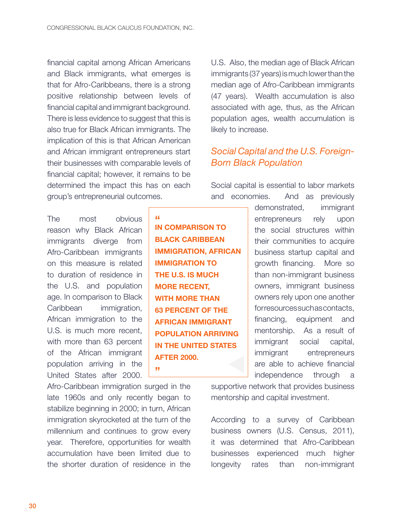financial capital among African Americans and Black immigrants, what emerges is that for Afro-Caribbeans, there is a strong positive relationship between levels of financial capital and immigrant background. There is less evidence to suggest that this is also true for Black African immigrants. The implication of this is that African American and African immigrant entrepreneurs start their businesses with comparable levels of financial capital; however, it remains to be determined the impact this has on each group's entrepreneurial outcomes.

**"**

**IN COMPARISON TO BLACK CARIBBEAN** 

**IMMIGRATION TO THE U.S. IS MUCH MORE RECENT, WITH MORE THAN 63 PERCENT OF THE AFRICAN IMMIGRANT POPULATION ARRIVING IN THE UNITED STATES** 

**AFTER 2000.**

**"**

**IMMIGRATION, AFRICAN** 

The most obvious reason why Black African immigrants diverge from Afro-Caribbean immigrants on this measure is related to duration of residence in the U.S. and population age. In comparison to Black Caribbean immigration, African immigration to the U.S. is much more recent, with more than 63 percent of the African immigrant population arriving in the United States after 2000.

Afro-Caribbean immigration surged in the late 1960s and only recently began to stabilize beginning in 2000; in turn, African immigration skyrocketed at the turn of the millennium and continues to grow every year. Therefore, opportunities for wealth accumulation have been limited due to the shorter duration of residence in the U.S. Also, the median age of Black African immigrants (37 years) is much lower than the median age of Afro-Caribbean immigrants (47 years). Wealth accumulation is also associated with age, thus, as the African population ages, wealth accumulation is likely to increase.

#### *Social Capital and the U.S. Foreign-Born Black Population*

Social capital is essential to labor markets and economies. And as previously

> demonstrated, immigrant entrepreneurs rely upon the social structures within their communities to acquire business startup capital and growth financing. More so than non-immigrant business owners, immigrant business owners rely upon one another for resources such as contacts. financing, equipment and mentorship. As a result of immigrant social capital, immigrant entrepreneurs are able to achieve financial independence through a

supportive network that provides business mentorship and capital investment.

According to a survey of Caribbean business owners (U.S. Census, 2011), it was determined that Afro-Caribbean businesses experienced much higher longevity rates than non-immigrant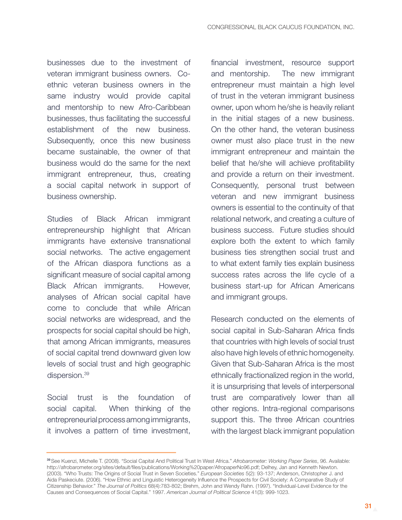businesses due to the investment of veteran immigrant business owners. Coethnic veteran business owners in the same industry would provide capital and mentorship to new Afro-Caribbean businesses, thus facilitating the successful establishment of the new business. Subsequently, once this new business became sustainable, the owner of that business would do the same for the next immigrant entrepreneur, thus, creating a social capital network in support of business ownership.

Studies of Black African immigrant entrepreneurship highlight that African immigrants have extensive transnational social networks. The active engagement of the African diaspora functions as a significant measure of social capital among Black African immigrants. However, analyses of African social capital have come to conclude that while African social networks are widespread, and the prospects for social capital should be high, that among African immigrants, measures of social capital trend downward given low levels of social trust and high geographic dispersion.39

Social trust is the foundation of social capital. When thinking of the entrepreneurial process among immigrants, it involves a pattern of time investment,

financial investment, resource support and mentorship. The new immigrant entrepreneur must maintain a high level of trust in the veteran immigrant business owner, upon whom he/she is heavily reliant in the initial stages of a new business. On the other hand, the veteran business owner must also place trust in the new immigrant entrepreneur and maintain the belief that he/she will achieve profitability and provide a return on their investment. Consequently, personal trust between veteran and new immigrant business owners is essential to the continuity of that relational network, and creating a culture of business success. Future studies should explore both the extent to which family business ties strengthen social trust and to what extent family ties explain business success rates across the life cycle of a business start-up for African Americans and immigrant groups.

Research conducted on the elements of social capital in Sub-Saharan Africa finds that countries with high levels of social trust also have high levels of ethnic homogeneity. Given that Sub-Saharan Africa is the most ethnically fractionalized region in the world, it is unsurprising that levels of interpersonal trust are comparatively lower than all other regions. Intra-regional comparisons support this. The three African countries with the largest black immigrant population

<sup>39</sup> See Kuenzi, Michelle T. (2008). "Social Capital And Political Trust In West Africa." *Afrobarometer: Working Paper Series*, 96. Available: http://afrobarometer.org/sites/default/files/publications/Working%20paper/AfropaperNo96.pdf; Delhey, Jan and Kenneth Newton. (2003). "Who Trusts: The Origins of Social Trust in Seven Societies." *European Societies* 5(2): 93-137; Anderson, Christopher J. and Aida Paskeciute. (2006). "How Ethnic and Linguistic Heterogeneity Influence the Prospects for Civil Society: A Comparative Study of Citizenship Behavior." *The Journal of Politics* 68(4):783-802; Brehm, John and Wendy Rahn. (1997). "Individual-Level Evidence for the Causes and Consequences of Social Capital." 1997. *American Journal of Political Science* 41(3): 999-1023.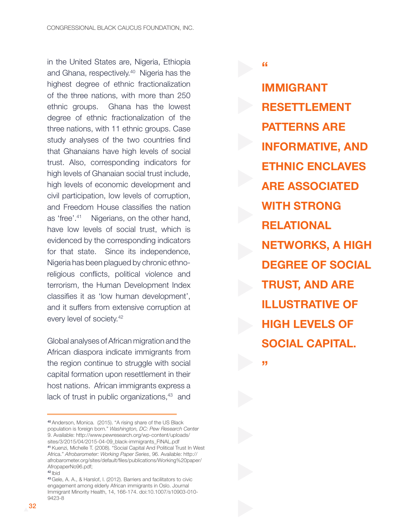in the United States are, Nigeria, Ethiopia and Ghana, respectively.<sup>40</sup> Nigeria has the highest degree of ethnic fractionalization of the three nations, with more than 250 ethnic groups. Ghana has the lowest degree of ethnic fractionalization of the three nations, with 11 ethnic groups. Case study analyses of the two countries find that Ghanaians have high levels of social trust. Also, corresponding indicators for high levels of Ghanaian social trust include, high levels of economic development and civil participation, low levels of corruption, and Freedom House classifies the nation as 'free'.41 Nigerians, on the other hand, have low levels of social trust, which is evidenced by the corresponding indicators for that state. Since its independence, Nigeria has been plagued by chronic ethnoreligious conflicts, political violence and terrorism, the Human Development Index classifies it as 'low human development', and it suffers from extensive corruption at every level of society.42

Global analyses of African migration and the African diaspora indicate immigrants from the region continue to struggle with social capital formation upon resettlement in their host nations. African immigrants express a lack of trust in public organizations,<sup>43</sup> and

<sup>43</sup> Gele, A. A., & Harslof, I. (2012). Barriers and facilitators to civic engagement among elderly African immigrants in Oslo. Journal Immigrant Minority Health, 14, 166-174. doi:10.1007/s10903-010- 9423-8

**IMMIGRANT RESETTLEMENT PATTERNS ARE INFORMATIVE, AND ETHNIC ENCLAVES ARE ASSOCIATED WITH STRONG RELATIONAL NETWORKS, A HIGH DEGREE OF SOCIAL TRUST, AND ARE ILLUSTRATIVE OF HIGH LEVELS OF SOCIAL CAPITAL. "**

**"**

<sup>40</sup> Anderson, Monica. (2015). "A rising share of the US Black population is foreign born." *Washington, DC: Pew Research Center* 9. Available: http://www.pewresearch.org/wp-content/uploads/ sites/3/2015/04/2015-04-09\_black-immigrants\_FINAL.pdf <sup>41</sup> Kuenzi, Michelle T. (2008). "Social Capital And Political Trust In West Africa." *Afrobarometer: Working Paper Series*, 96. Available: http:// afrobarometer.org/sites/default/files/publications/Working%20paper/ AfropaperNo96.pdf; <sup>42</sup> Ibid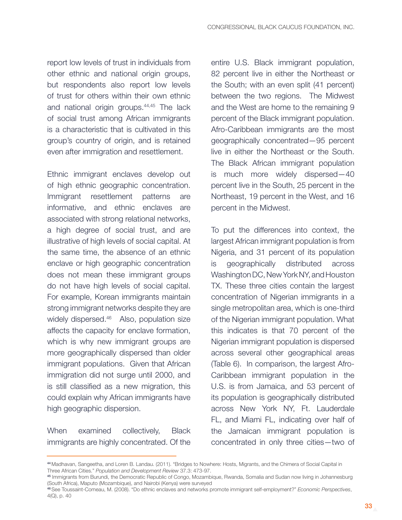report low levels of trust in individuals from other ethnic and national origin groups, but respondents also report low levels of trust for others within their own ethnic and national origin groups.44,45 The lack of social trust among African immigrants is a characteristic that is cultivated in this group's country of origin, and is retained even after immigration and resettlement.

Ethnic immigrant enclaves develop out of high ethnic geographic concentration. Immigrant resettlement patterns are informative, and ethnic enclaves are associated with strong relational networks, a high degree of social trust, and are illustrative of high levels of social capital. At the same time, the absence of an ethnic enclave or high geographic concentration does not mean these immigrant groups do not have high levels of social capital. For example, Korean immigrants maintain strong immigrant networks despite they are widely dispersed.<sup>46</sup> Also, population size affects the capacity for enclave formation, which is why new immigrant groups are more geographically dispersed than older immigrant populations. Given that African immigration did not surge until 2000, and is still classified as a new migration, this could explain why African immigrants have high geographic dispersion.

When examined collectively, Black immigrants are highly concentrated. Of the

entire U.S. Black immigrant population, 82 percent live in either the Northeast or the South; with an even split (41 percent) between the two regions. The Midwest and the West are home to the remaining 9 percent of the Black immigrant population. Afro-Caribbean immigrants are the most geographically concentrated—95 percent live in either the Northeast or the South. The Black African immigrant population is much more widely dispersed—40 percent live in the South, 25 percent in the Northeast, 19 percent in the West, and 16 percent in the Midwest.

To put the differences into context, the largest African immigrant population is from Nigeria, and 31 percent of its population is geographically distributed across Washington DC, New York NY, and Houston TX. These three cities contain the largest concentration of Nigerian immigrants in a single metropolitan area, which is one-third of the Nigerian immigrant population. What this indicates is that 70 percent of the Nigerian immigrant population is dispersed across several other geographical areas (Table 6). In comparison, the largest Afro-Caribbean immigrant population in the U.S. is from Jamaica, and 53 percent of its population is geographically distributed across New York NY, Ft. Lauderdale FL, and Miami FL, indicating over half of the Jamaican immigrant population is concentrated in only three cities—two of

<sup>44</sup> Madhavan, Sangeetha, and Loren B. Landau. (2011). "Bridges to Nowhere: Hosts, Migrants, and the Chimera of Social Capital in Three African Cities." *Population and Development Review* 37.3: 473-97.

<sup>45</sup> Immigrants from Burundi, the Democratic Republic of Congo, Mozambique, Rwanda, Somalia and Sudan now living in Johannesburg (South Africa), Maputo (Mozambique), and Nairobi (Kenya) were surveyed

<sup>46</sup> See Toussaint-Comeau, M. (2008). "Do ethnic enclaves and networks promote immigrant self-employment?" *Economic Perspectives*, 4(Q), p. 40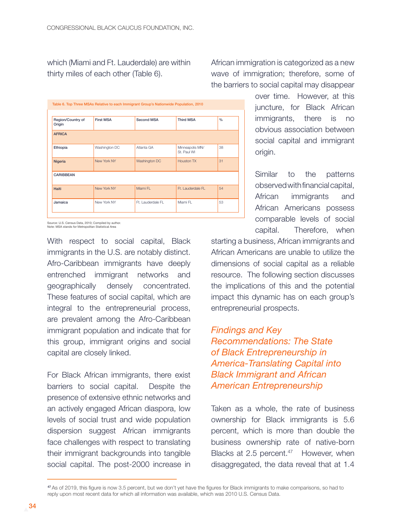which (Miami and Ft. Lauderdale) are within thirty miles of each other (Table 6).

African immigration is categorized as a new wave of immigration; therefore, some of the barriers to social capital may disappear

| Region/Country of<br>Origin | <b>First MSA</b> | Second MSA        | <b>Third MSA</b>               | $\frac{0}{0}$ |
|-----------------------------|------------------|-------------------|--------------------------------|---------------|
| <b>AFRICA</b>               |                  |                   |                                |               |
| Ethiopia                    | Washington DC    | Atlanta GA        | Minneapolis MN/<br>St. Paul WI | 38            |
| Nigeria                     | New York NY      | Washington DC     | <b>Houston TX</b>              | 31            |
| <b>CARIBBEAN</b>            |                  |                   |                                |               |
| Haiti                       | New York NY      | Miami FI          | Ft. Lauderdale FL              | 54            |
| Jamaica                     | New York NY      | Ft. Lauderdale FL | Miami Fl                       | 53            |

Source: U.S. Census Data, 2010; Compiled by author. Note: MSA stands for Metropolitan Statistical Area

With respect to social capital, Black immigrants in the U.S. are notably distinct. Afro-Caribbean immigrants have deeply entrenched immigrant networks and geographically densely concentrated. These features of social capital, which are integral to the entrepreneurial process, are prevalent among the Afro-Caribbean immigrant population and indicate that for this group, immigrant origins and social capital are closely linked.

For Black African immigrants, there exist barriers to social capital. Despite the presence of extensive ethnic networks and an actively engaged African diaspora, low levels of social trust and wide population dispersion suggest African immigrants face challenges with respect to translating their immigrant backgrounds into tangible social capital. The post-2000 increase in

over time. However, at this juncture, for Black African immigrants, there is no obvious association between social capital and immigrant origin.

Similar to the patterns observed with financial capital, African immigrants and African Americans possess comparable levels of social capital. Therefore, when

starting a business, African immigrants and African Americans are unable to utilize the dimensions of social capital as a reliable resource. The following section discusses the implications of this and the potential impact this dynamic has on each group's entrepreneurial prospects.

#### *Findings and Key Recommendations: The State of Black Entrepreneurship in America-Translating Capital into Black Immigrant and African American Entrepreneurship*

Taken as a whole, the rate of business ownership for Black immigrants is 5.6 percent, which is more than double the business ownership rate of native-born Blacks at 2.5 percent. $47$  However, when disaggregated, the data reveal that at 1.4

<sup>47</sup> As of 2019, this figure is now 3.5 percent, but we don't yet have the figures for Black immigrants to make comparisons, so had to reply upon most recent data for which all information was available, which was 2010 U.S. Census Data.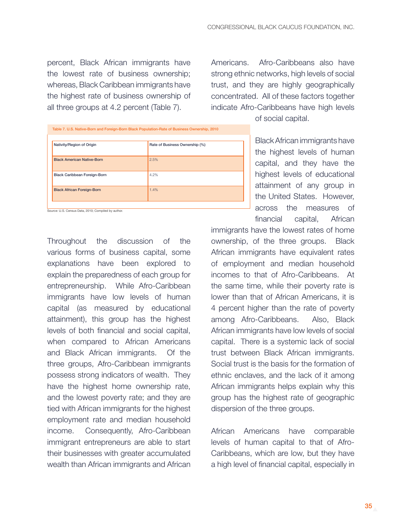percent, Black African immigrants have the lowest rate of business ownership; whereas, Black Caribbean immigrants have the highest rate of business ownership of all three groups at 4.2 percent (Table 7).

Americans. Afro-Caribbeans also have strong ethnic networks, high levels of social trust, and they are highly geographically concentrated. All of these factors together indicate Afro-Caribbeans have high levels

| Nativity/Region of Origin         | Rate of Business Ownership (%) |
|-----------------------------------|--------------------------------|
| <b>Black American Native-Born</b> | 2.5%                           |
| Black Caribbean Foreign-Born      | 4.2%                           |
| <b>Black African Foreign-Born</b> | 1.4%                           |

Source: U.S. Census Data, 2010; Compiled by author

Throughout the discussion of the various forms of business capital, some explanations have been explored to explain the preparedness of each group for entrepreneurship. While Afro-Caribbean immigrants have low levels of human capital (as measured by educational attainment), this group has the highest levels of both financial and social capital, when compared to African Americans and Black African immigrants. Of the three groups, Afro-Caribbean immigrants possess strong indicators of wealth. They have the highest home ownership rate, and the lowest poverty rate; and they are tied with African immigrants for the highest employment rate and median household income. Consequently, Afro-Caribbean immigrant entrepreneurs are able to start their businesses with greater accumulated wealth than African immigrants and African of social capital.

Black African immigrants have the highest levels of human capital, and they have the highest levels of educational attainment of any group in the United States. However, across the measures of financial capital, African

immigrants have the lowest rates of home ownership, of the three groups. Black African immigrants have equivalent rates of employment and median household incomes to that of Afro-Caribbeans. At the same time, while their poverty rate is lower than that of African Americans, it is 4 percent higher than the rate of poverty among Afro-Caribbeans. Also, Black African immigrants have low levels of social capital. There is a systemic lack of social trust between Black African immigrants. Social trust is the basis for the formation of ethnic enclaves, and the lack of it among African immigrants helps explain why this group has the highest rate of geographic dispersion of the three groups.

African Americans have comparable levels of human capital to that of Afro-Caribbeans, which are low, but they have a high level of financial capital, especially in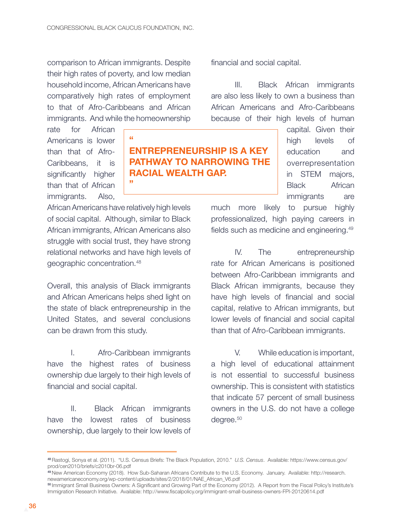comparison to African immigrants. Despite their high rates of poverty, and low median household income, African Americans have comparatively high rates of employment to that of Afro-Caribbeans and African immigrants. And while the homeownership

**"**

**"**

rate for African Americans is lower than that of Afro-Caribbeans, it is significantly higher than that of African immigrants. Also,

African Americans have relatively high levels of social capital. Although, similar to Black African immigrants, African Americans also struggle with social trust, they have strong relational networks and have high levels of geographic concentration.48

Overall, this analysis of Black immigrants and African Americans helps shed light on the state of black entrepreneurship in the United States, and several conclusions can be drawn from this study.

I. Afro-Caribbean immigrants have the highest rates of business ownership due largely to their high levels of financial and social capital.

II. Black African immigrants have the lowest rates of business ownership, due largely to their low levels of financial and social capital.

III. Black African immigrants are also less likely to own a business than African Americans and Afro-Caribbeans because of their high levels of human

> capital. Given their high levels of education and overrepresentation in STEM majors, Black African immigrants are

much more likely to pursue highly professionalized, high paying careers in fields such as medicine and engineering.49

IV. The entrepreneurship rate for African Americans is positioned between Afro-Caribbean immigrants and Black African immigrants, because they have high levels of financial and social capital, relative to African immigrants, but lower levels of financial and social capital than that of Afro-Caribbean immigrants.

V. While education is important, a high level of educational attainment is not essential to successful business ownership. This is consistent with statistics that indicate 57 percent of small business owners in the U.S. do not have a college degree.<sup>50</sup>

**ENTREPRENEURSHIP IS A KEY PATHWAY TO NARROWING THE** 

**RACIAL WEALTH GAP.**

<sup>48</sup>Rastogi, Sonya et al. (2011). "U.S. Census Briefs: The Black Population, 2010." *U.S. Census*. Available: https://www.census.gov/ prod/cen2010/briefs/c2010br-06.pdf

<sup>49</sup> New American Economy (2018). How Sub-Saharan Africans Contribute to the U.S. Economy. January. Available: http://research. newamericaneconomy.org/wp-content/uploads/sites/2/2018/01/NAE\_African\_V6.pdf

<sup>50</sup> Immigrant Small Business Owners: A Significant and Growing Part of the Economy (2012). A Report from the Fiscal Policy's Institute's Immigration Research Initiative. Available: http://www.fiscalpolicy.org/immigrant-small-business-owners-FPI-20120614.pdf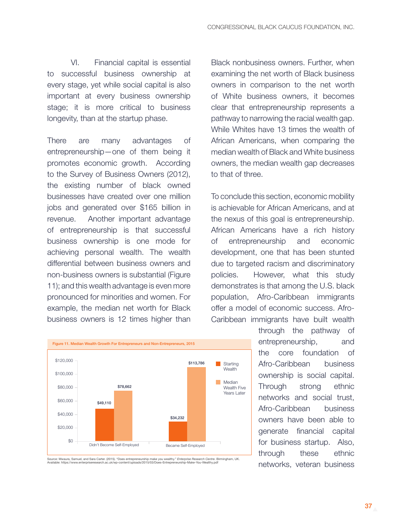VI. Financial capital is essential to successful business ownership at every stage, yet while social capital is also important at every business ownership stage; it is more critical to business longevity, than at the startup phase.

There are many advantages of entrepreneurship—one of them being it promotes economic growth. According to the Survey of Business Owners (2012), the existing number of black owned businesses have created over one million jobs and generated over \$165 billion in revenue. Another important advantage of entrepreneurship is that successful business ownership is one mode for achieving personal wealth. The wealth differential between business owners and non-business owners is substantial (Figure 11); and this wealth advantage is even more pronounced for minorities and women. For example, the median net worth for Black business owners is 12 times higher than



Source: Mwaura, Samuel, and Sara Carter. (2015). "Does entrepreneurship make you wealthy." *Enterprise Research Centre.* Birmingham, UK.<br>Available: https://www.enterpriseresearch.ac.uk/wp-content/uploads/2015/03/Does-Entre

Black nonbusiness owners. Further, when examining the net worth of Black business owners in comparison to the net worth of White business owners, it becomes clear that entrepreneurship represents a pathway to narrowing the racial wealth gap. While Whites have 13 times the wealth of African Americans, when comparing the median wealth of Black and White business owners, the median wealth gap decreases to that of three.

To conclude this section, economic mobility is achievable for African Americans, and at the nexus of this goal is entrepreneurship. African Americans have a rich history of entrepreneurship and economic development, one that has been stunted due to targeted racism and discriminatory policies. However, what this study demonstrates is that among the U.S. black population, Afro-Caribbean immigrants offer a model of economic success. Afro-Caribbean immigrants have built wealth

> through the pathway of entrepreneurship, and the core foundation of Afro-Caribbean business ownership is social capital. Through strong ethnic networks and social trust, Afro-Caribbean business owners have been able to generate financial capital for business startup. Also, through these ethnic networks, veteran business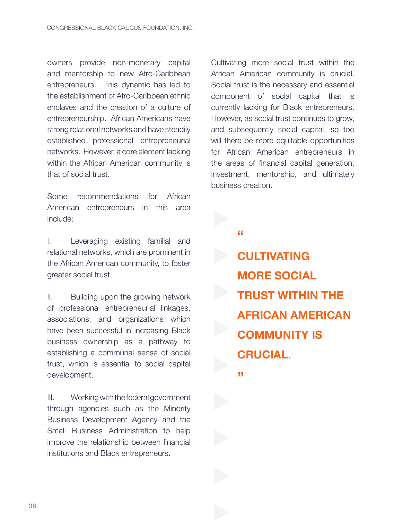owners provide non-monetary capital and mentorship to new Afro-Caribbean entrepreneurs. This dynamic has led to the establishment of Afro-Caribbean ethnic enclaves and the creation of a culture of entrepreneurship. African Americans have strong relational networks and have steadily established professional entrepreneurial networks. However, a core element lacking within the African American community is that of social trust.

Some recommendations for African American entrepreneurs in this area include:

I. Leveraging existing familial and relational networks, which are prominent in the African American community, to foster greater social trust.

II. Building upon the growing network of professional entrepreneurial linkages, associations, and organizations which have been successful in increasing Black business ownership as a pathway to establishing a communal sense of social trust, which is essential to social capital development.

III. Working with the federal government through agencies such as the Minority Business Development Agency and the Small Business Administration to help improve the relationship between financial institutions and Black entrepreneurs.

Cultivating more social trust within the African American community is crucial. Social trust is the necessary and essential component of social capital that is currently lacking for Black entrepreneurs. However, as social trust continues to grow, and subsequently social capital, so too will there be more equitable opportunities for African American entrepreneurs in the areas of financial capital generation, investment, mentorship, and ultimately business creation.

**"**

**CULTIVATING MORE SOCIAL TRUST WITHIN THE AFRICAN AMERICAN COMMUNITY IS CRUCIAL. "**

38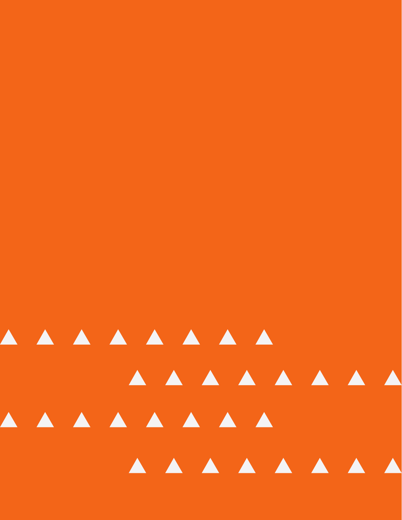# AAAAAAAAA AAAAAAAAA A A A A A A A A AAAAAAAAA